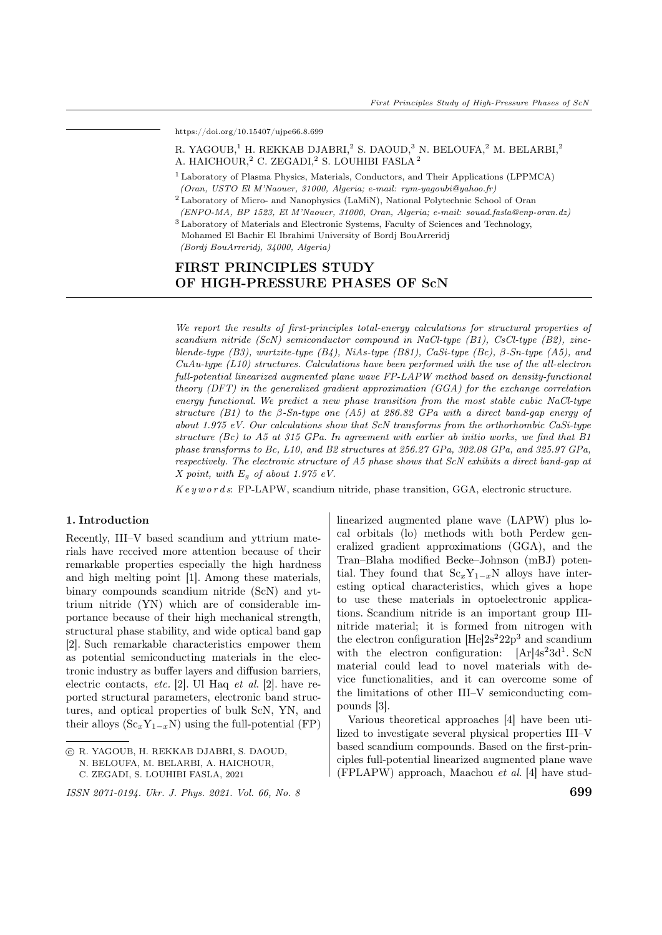https://doi.org/10.15407/ujpe66.8.699

# R. YAGOUB,<sup>1</sup> H. REKKAB DJABRI,<sup>2</sup> S. DAOUD,<sup>3</sup> N. BELOUFA,<sup>2</sup> M. BELARBI,<sup>2</sup> A. HAICHOUR,<sup>2</sup> C. ZEGADI,<sup>2</sup> S. LOUHIBI FASLA<sup>2</sup>

<sup>1</sup> Laboratory of Plasma Physics, Materials, Conductors, and Their Applications (LPPMCA) (Oran, USTO El M'Naouer, 31000, Algeria; e-mail: rym-yagoubi@yahoo.fr)

<sup>2</sup> Laboratory of Micro- and Nanophysics (LaMiN), National Polytechnic School of Oran (ENPO-MA, BP 1523, El M'Naouer, 31000, Oran, Algeria; e-mail: souad.fasla@enp-oran.dz)

<sup>3</sup> Laboratory of Materials and Electronic Systems, Faculty of Sciences and Technology, Mohamed El Bachir El Ibrahimi University of Bordj BouArreridj

(Bordj BouArreridj, 34000, Algeria)

# FIRST PRINCIPLES STUDY OF HIGH-PRESSURE PHASES OF ScN

We report the results of first-principles total-energy calculations for structural properties of scandium nitride (ScN) semiconductor compound in NaCl-type  $(B1)$ , CsCl-type  $(B2)$ , zincblende-type  $(B3)$ , wurtzite-type  $(B4)$ , NiAs-type  $(B31)$ , CaSi-type  $(Bc)$ ,  $\beta$ -Sn-type  $(A5)$ , and  $CuAu-type (L10) structures. Calculations have been performed with the use of the all-electron$ full-potential linearized augmented plane wave FP-LAPW method based on density-functional theory (DFT) in the generalized gradient approximation (GGA) for the exchange correlation energy functional. We predict a new phase transition from the most stable cubic NaCl-type structure (B1) to the  $\beta$ -Sn-type one (A5) at 286.82 GPa with a direct band-gap energy of about 1.975 eV. Our calculations show that ScN transforms from the orthorhombic CaSi-type structure  $(Be)$  to A5 at 315 GPa. In agreement with earlier ab initio works, we find that B1 phase transforms to Bc, L10, and B2 structures at 256.27 GPa, 302.08 GPa, and 325.97 GPa, respectively. The electronic structure of A5 phase shows that ScN exhibits a direct band-gap at X point, with  $E_g$  of about 1.975 eV.

 $Key words: FP-LAPW, scandium nitride, phase transition, GGA, electronic structure.$ 

#### 1. Introduction

Recently, III–V based scandium and yttrium materials have received more attention because of their remarkable properties especially the high hardness and high melting point [1]. Among these materials, binary compounds scandium nitride (ScN) and yttrium nitride (YN) which are of considerable importance because of their high mechanical strength, structural phase stability, and wide optical band gap [2]. Such remarkable characteristics empower them as potential semiconducting materials in the electronic industry as buffer layers and diffusion barriers, electric contacts, *etc.* [2]. Ul Haq *et al.* [2]. have reported structural parameters, electronic band structures, and optical properties of bulk ScN, YN, and their alloys  $(Sc_xY_{1-x}N)$  using the full-potential (FP)

linearized augmented plane wave (LAPW) plus local orbitals (lo) methods with both Perdew generalized gradient approximations (GGA), and the Tran–Blaha modified Becke–Johnson (mBJ) potential. They found that  $Sc_xY_{1-x}N$  alloys have interesting optical characteristics, which gives a hope to use these materials in optoelectronic applications. Scandium nitride is an important group IIInitride material; it is formed from nitrogen with the electron configuration  $[He]2s^2 22p^3$  and scandium with the electron configuration:  $[Ar]4s^23d^1$ . ScN material could lead to novel materials with device functionalities, and it can overcome some of the limitations of other III–V semiconducting compounds [3].

Various theoretical approaches [4] have been utilized to investigate several physical properties III–V based scandium compounds. Based on the first-principles full-potential linearized augmented plane wave (FPLAPW) approach, Maachou et al. [4] have stud-

<sup>○</sup>c R. YAGOUB, H. REKKAB DJABRI, S. DAOUD, N. BELOUFA, M. BELARBI, A. HAICHOUR,

C. ZEGADI, S. LOUHIBI FASLA, 2021

ISSN 2071-0194. Ukr. J. Phys. 2021. Vol. 66, No. 8 699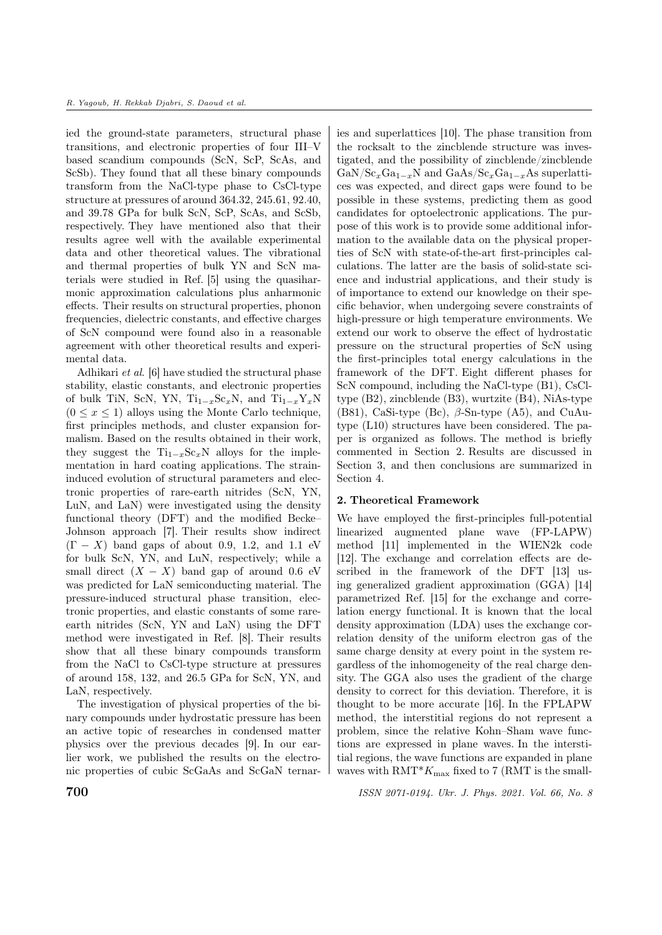ied the ground-state parameters, structural phase transitions, and electronic properties of four III–V based scandium compounds (ScN, ScP, ScAs, and ScSb). They found that all these binary compounds transform from the NaCl-type phase to CsCl-type structure at pressures of around 364.32, 245.61, 92.40, and 39.78 GPa for bulk ScN, ScP, ScAs, and ScSb, respectively. They have mentioned also that their results agree well with the available experimental data and other theoretical values. The vibrational and thermal properties of bulk YN and ScN materials were studied in Ref. [5] using the quasiharmonic approximation calculations plus anharmonic effects. Their results on structural properties, phonon frequencies, dielectric constants, and effective charges of ScN compound were found also in a reasonable agreement with other theoretical results and experimental data.

Adhikari et al. [6] have studied the structural phase stability, elastic constants, and electronic properties of bulk TiN, ScN, YN,  $Ti_{1-x}Sc_xN$ , and  $Ti_{1-x}Y_xN$  $(0 \le x \le 1)$  alloys using the Monte Carlo technique, first principles methods, and cluster expansion formalism. Based on the results obtained in their work, they suggest the  $Ti_{1-x}Sc_xN$  alloys for the implementation in hard coating applications. The straininduced evolution of structural parameters and electronic properties of rare-earth nitrides (ScN, YN, LuN, and LaN) were investigated using the density functional theory (DFT) and the modified Becke– Johnson approach [7]. Their results show indirect  $(\Gamma - X)$  band gaps of about 0.9, 1.2, and 1.1 eV for bulk ScN, YN, and LuN, respectively; while a small direct  $(X - X)$  band gap of around 0.6 eV was predicted for LaN semiconducting material. The pressure-induced structural phase transition, electronic properties, and elastic constants of some rareearth nitrides (ScN, YN and LaN) using the DFT method were investigated in Ref. [8]. Their results show that all these binary compounds transform from the NaCl to CsCl-type structure at pressures of around 158, 132, and 26.5 GPa for ScN, YN, and LaN, respectively.

The investigation of physical properties of the binary compounds under hydrostatic pressure has been an active topic of researches in condensed matter physics over the previous decades [9]. In our earlier work, we published the results on the electronic properties of cubic ScGaAs and ScGaN ternaries and superlattices [10]. The phase transition from the rocksalt to the zincblende structure was investigated, and the possibility of zincblende/zincblende  $\text{GaN}/\text{Sc}_x\text{Ga}_{1-x}\text{N}$  and  $\text{GaAs}/\text{Sc}_x\text{Ga}_{1-x}\text{As}$  superlattices was expected, and direct gaps were found to be possible in these systems, predicting them as good candidates for optoelectronic applications. The purpose of this work is to provide some additional information to the available data on the physical properties of ScN with state-of-the-art first-principles calculations. The latter are the basis of solid-state science and industrial applications, and their study is of importance to extend our knowledge on their specific behavior, when undergoing severe constraints of high-pressure or high temperature environments. We extend our work to observe the effect of hydrostatic pressure on the structural properties of ScN using the first-principles total energy calculations in the framework of the DFT. Eight different phases for ScN compound, including the NaCl-type (B1), CsCltype (B2), zincblende (B3), wurtzite (B4), NiAs-type (B81), CaSi-type (Bc),  $\beta$ -Sn-type (A5), and CuAutype (L10) structures have been considered. The paper is organized as follows. The method is briefly commented in Section 2. Results are discussed in Section 3, and then conclusions are summarized in Section 4.

# 2. Theoretical Framework

We have employed the first-principles full-potential linearized augmented plane wave (FP-LAPW) method [11] implemented in the WIEN2k code [12]. The exchange and correlation effects are described in the framework of the DFT [13] using generalized gradient approximation (GGA) [14] parametrized Ref. [15] for the exchange and correlation energy functional. It is known that the local density approximation (LDA) uses the exchange correlation density of the uniform electron gas of the same charge density at every point in the system regardless of the inhomogeneity of the real charge density. The GGA also uses the gradient of the charge density to correct for this deviation. Therefore, it is thought to be more accurate [16]. In the FPLAPW method, the interstitial regions do not represent a problem, since the relative Kohn–Sham wave functions are expressed in plane waves. In the interstitial regions, the wave functions are expanded in plane waves with  $RMT^*K_{\text{max}}$  fixed to 7 (RMT is the small-

**700** ISSN 2071-0194. Ukr. J. Phys. 2021. Vol. 66, No. 8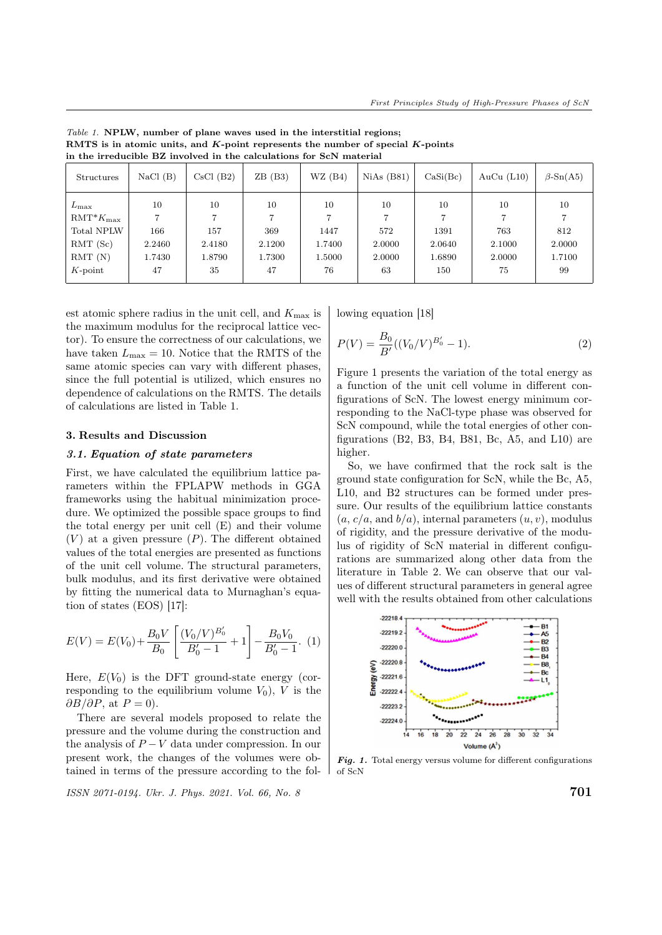| <b>Structures</b> | NaCl(B) | CsCl(B2) | ZB(B3) | WZ(B4) | NiAs(B81) | CaSi(Bc) | AuCu $(L10)$ | $\beta$ -Sn(A5) |
|-------------------|---------|----------|--------|--------|-----------|----------|--------------|-----------------|
| $L_{\rm max}$     | 10      | 10       | 10     | 10     | 10        | 10       | 10           | 10              |
| $RMT^*K_{\max}$   |         |          |        |        | ⇁         |          | 7            | $\overline{ }$  |
| Total NPLW        | 166     | 157      | 369    | 1447   | 572       | 1391     | 763          | 812             |
| RMT(Sc)           | 2.2460  | 2.4180   | 2.1200 | 1.7400 | 2.0000    | 2.0640   | 2.1000       | 2.0000          |
| RMT(N)            | 1.7430  | 1.8790   | 1.7300 | 1.5000 | 2.0000    | 1.6890   | 2.0000       | 1.7100          |
| $K$ -point        | 47      | 35       | 47     | 76     | 63        | 150      | 75           | 99              |

Table 1. NPLW, number of plane waves used in the interstitial regions; RMTS is in atomic units, and  $K$ -point represents the number of special  $K$ -points in the irreducible BZ involved in the calculations for ScN material

est atomic sphere radius in the unit cell, and  $K_{\text{max}}$  is the maximum modulus for the reciprocal lattice vector). To ensure the correctness of our calculations, we have taken  $L_{\text{max}} = 10$ . Notice that the RMTS of the same atomic species can vary with different phases, since the full potential is utilized, which ensures no dependence of calculations on the RMTS. The details of calculations are listed in Table 1.

#### 3. Results and Discussion

#### 3.1. Equation of state parameters

First, we have calculated the equilibrium lattice parameters within the FPLAPW methods in GGA frameworks using the habitual minimization procedure. We optimized the possible space groups to find the total energy per unit cell (E) and their volume  $(V)$  at a given pressure  $(P)$ . The different obtained values of the total energies are presented as functions of the unit cell volume. The structural parameters, bulk modulus, and its first derivative were obtained by fitting the numerical data to Murnaghan's equation of states (EOS) [17]:

$$
E(V) = E(V_0) + \frac{B_0 V}{B_0} \left[ \frac{(V_0 / V)^{B'_0}}{B'_0 - 1} + 1 \right] - \frac{B_0 V_0}{B'_0 - 1}.
$$
 (1)

Here,  $E(V_0)$  is the DFT ground-state energy (corresponding to the equilibrium volume  $V_0$ , V is the  $\partial B/\partial P$ , at  $P=0$ ).

There are several models proposed to relate the pressure and the volume during the construction and the analysis of  $P - V$  data under compression. In our present work, the changes of the volumes were obtained in terms of the pressure according to the fol-

 $\frac{1}{10}$  ISSN 2071-0194. Ukr. J. Phys. 2021. Vol. 66, No. 8  $701$ 

lowing equation [18]

$$
P(V) = \frac{B_0}{B'}((V_0/V)^{B'_0} - 1).
$$
 (2)

Figure 1 presents the variation of the total energy as a function of the unit cell volume in different configurations of ScN. The lowest energy minimum corresponding to the NaCl-type phase was observed for ScN compound, while the total energies of other configurations (B2, B3, B4, B81, Bc, A5, and L10) are higher.

So, we have confirmed that the rock salt is the ground state configuration for ScN, while the Bc, A5, L10, and B2 structures can be formed under pressure. Our results of the equilibrium lattice constants  $(a, c/a, \text{and } b/a)$ , internal parameters  $(u, v)$ , modulus of rigidity, and the pressure derivative of the modulus of rigidity of ScN material in different configurations are summarized along other data from the literature in Table 2. We can observe that our values of different structural parameters in general agree well with the results obtained from other calculations



Fig. 1. Total energy versus volume for different configurations of ScN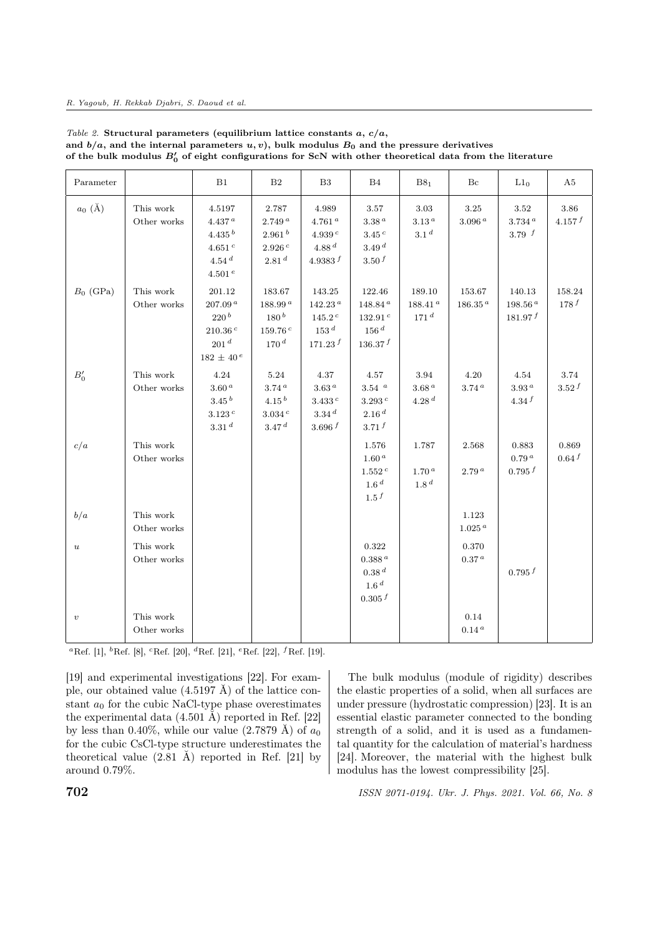#### R. Yagoub, H. Rekkab Djabri, S. Daoud et al.

| Parameter        |                          | B1                                                                                                  | B <sub>2</sub>                                                                | B <sub>3</sub>                                                                    | B <sub>4</sub>                                                                | B8 <sub>1</sub>                                | Bc                            | $L1_0$                                    | A <sub>5</sub>  |
|------------------|--------------------------|-----------------------------------------------------------------------------------------------------|-------------------------------------------------------------------------------|-----------------------------------------------------------------------------------|-------------------------------------------------------------------------------|------------------------------------------------|-------------------------------|-------------------------------------------|-----------------|
| $a_0$ (Å)        | This work<br>Other works | 4.5197<br>4.437 a<br>4.435 <sup>b</sup><br>$4.651\,^c$<br>4.54 <sup>d</sup><br>$4.501\,^e$          | 2.787<br>2.749a<br>2.961 <sup>b</sup><br>2.926 c<br>2.81 <sup>d</sup>         | 4.989<br>4.761 <sup>a</sup><br>4.939 $^c$<br>4.88 d<br>4.9383 $f$                 | 3.57<br>3.38 <sup>a</sup><br>3.45c<br>3.49 <sup>d</sup><br>3.50 <sup>f</sup>  | 3.03<br>3.13 <sup>a</sup><br>3.1 <sup>d</sup>  | 3.25<br>3.096 <sup>a</sup>    | 3.52<br>$3.734$ <sup>a</sup><br>3.79 $f$  | 3.86<br>4.157 f |
| $B_0$ (GPa)      | This work<br>Other works | 201.12<br>207.09 <sup>a</sup><br>220 <sup>b</sup><br>210.36 c<br>201 <sup>d</sup><br>$182 \pm 40^e$ | 183.67<br>$188.99^{\,a}$<br>180 <sup>b</sup><br>159.76 c<br>170 <sup>d</sup>  | 143.25<br>142.23 <sup>a</sup><br>$145.2^{\,c}$<br>153 <sup>d</sup><br>$171.23\,f$ | 122.46<br>148.84 <sup>a</sup><br>132.91 $^c$<br>$156\,d$<br>136.37 f          | 189.10<br>$188.41^{\,a}$<br>171 <sup>d</sup>   | 153.67<br>$186.35^{\,a}$      | 140.13<br>198.56 <sup>a</sup><br>181.97 f | 158.24<br>178f  |
| $B'_0$           | This work<br>Other works | 4.24<br>$3.60\,^a$<br>3.45 <sup>b</sup><br>3.123c<br>3.31 <sup>d</sup>                              | 5.24<br>3.74 <sup>a</sup><br>4.15 <sup>b</sup><br>3.034c<br>3.47 <sup>d</sup> | 4.37<br>3.63 <sup>a</sup><br>$3.433\,^c$<br>3.34 <sup>d</sup><br>3.696 $f$        | 4.57<br>$3.54$ $\,$ $^a$<br>$3.293\,^c$<br>2.16 <sup>d</sup><br>3.71 f        | 3.94<br>3.68 <sup>a</sup><br>4.28 <sup>d</sup> | 4.20<br>3.74 <sup>a</sup>     | 4.54<br>3.93 <sup>a</sup><br>4.34 f       | 3.74<br>3.52 f  |
| c/a              | This work<br>Other works |                                                                                                     |                                                                               |                                                                                   | 1.576<br>1.60 <sup>a</sup><br>1.552 c<br>1.6 <sup>d</sup><br>1.5 <sup>f</sup> | 1.787<br>1.70 <sup>a</sup><br>1.8 <sup>d</sup> | 2.568<br>2.79 <sup>a</sup>    | 0.883<br>0.79 <sup>a</sup><br>0.795 f     | 0.869<br>0.64 f |
| b/a              | This work<br>Other works |                                                                                                     |                                                                               |                                                                                   |                                                                               |                                                | 1.123<br>$1.025$ <sup>a</sup> |                                           |                 |
| $\boldsymbol{u}$ | This work<br>Other works |                                                                                                     |                                                                               |                                                                                   | 0.322<br>$0.388\,a$<br>0.38 <sup>d</sup><br>1.6 <sup>d</sup><br>0.305 f       |                                                | 0.370<br>0.37 <sup>a</sup>    | 0.795 f                                   |                 |
| $\boldsymbol{v}$ | This work<br>Other works |                                                                                                     |                                                                               |                                                                                   |                                                                               |                                                | 0.14<br>0.14 <sup>a</sup>     |                                           |                 |

Table 2. Structural parameters (equilibrium lattice constants  $a, c/a,$ and  $b/a$ , and the internal parameters  $u, v$ ), bulk modulus  $B_0$  and the pressure derivatives of the bulk modulus  $B'_0$  of eight configurations for ScN with other theoretical data from the literature

<sup>a</sup>Ref. [1], <sup>b</sup>Ref. [8], <sup>c</sup>Ref. [20], <sup>d</sup>Ref. [21], <sup>e</sup>Ref. [22], <sup>f</sup>Ref. [19].

[19] and experimental investigations [22]. For example, our obtained value  $(4.5197 \text{ Å})$  of the lattice constant  $a_0$  for the cubic NaCl-type phase overestimates the experimental data  $(4.501 \text{ Å})$  reported in Ref. [22] by less than 0.40%, while our value  $(2.7879 \text{ Å})$  of  $a_0$ for the cubic CsCl-type structure underestimates the theoretical value  $(2.81 \text{ Å})$  reported in Ref. [21] by around 0.79%.

The bulk modulus (module of rigidity) describes the elastic properties of a solid, when all surfaces are under pressure (hydrostatic compression) [23]. It is an essential elastic parameter connected to the bonding strength of a solid, and it is used as a fundamental quantity for the calculation of material's hardness [24]. Moreover, the material with the highest bulk modulus has the lowest compressibility [25].

 $158N\ 2071-0194$ . Ukr. J. Phys. 2021. Vol. 66, No. 8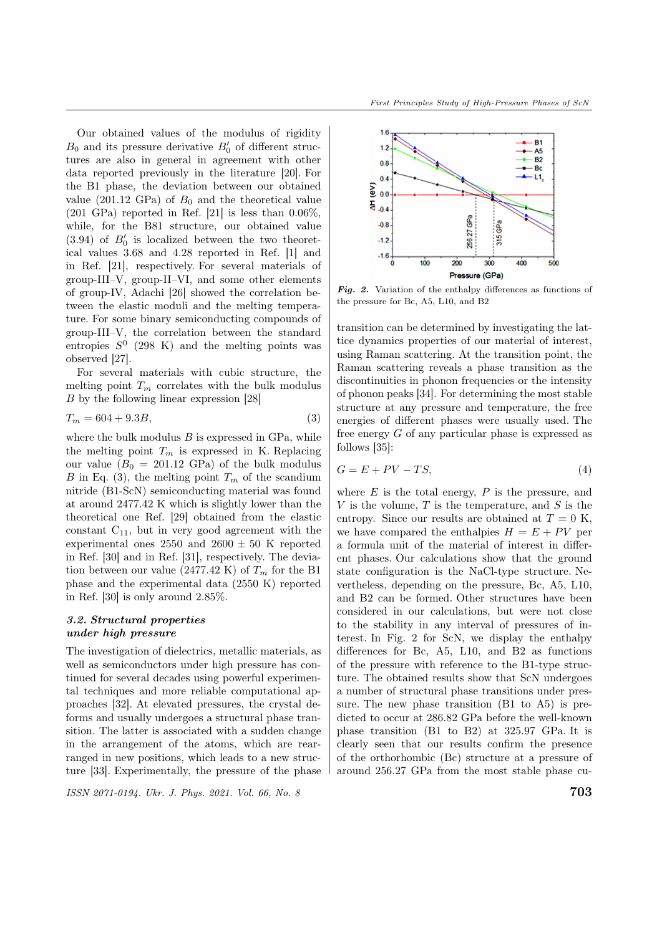Our obtained values of the modulus of rigidity  $B_0$  and its pressure derivative  $B'_0$  of different structures are also in general in agreement with other data reported previously in the literature [20]. For the B1 phase, the deviation between our obtained value (201.12 GPa) of  $B_0$  and the theoretical value  $(201 \text{ GPa})$  reported in Ref. [21] is less than  $0.06\%$ , while, for the B81 structure, our obtained value  $(3.94)$  of  $B'_{0}$  is localized between the two theoretical values 3.68 and 4.28 reported in Ref. [1] and in Ref. [21], respectively. For several materials of group-III–V, group-II–VI, and some other elements of group-IV, Adachi [26] showed the correlation between the elastic moduli and the melting temperature. For some binary semiconducting compounds of group-III–V, the correlation between the standard entropies  $S^0$  (298 K) and the melting points was observed [27].

For several materials with cubic structure, the melting point  $T_m$  correlates with the bulk modulus by the following linear expression [28]

$$
T_m = 604 + 9.3B,\t\t(3)
$$

where the bulk modulus  $B$  is expressed in GPa, while the melting point  $T_m$  is expressed in K. Replacing our value  $(B_0 = 201.12 \text{ GPa})$  of the bulk modulus B in Eq. (3), the melting point  $T_m$  of the scandium nitride (B1-ScN) semiconducting material was found at around 2477.42 K which is slightly lower than the theoretical one Ref. [29] obtained from the elastic constant  $C_{11}$ , but in very good agreement with the experimental ones 2550 and  $2600 \pm 50$  K reported in Ref. [30] and in Ref. [31], respectively. The deviation between our value (2477.42 K) of  $T_m$  for the B1 phase and the experimental data (2550 K) reported in Ref. [30] is only around 2.85%.

# 3.2. Structural properties under high pressure

The investigation of dielectrics, metallic materials, as well as semiconductors under high pressure has continued for several decades using powerful experimental techniques and more reliable computational approaches [32]. At elevated pressures, the crystal deforms and usually undergoes a structural phase transition. The latter is associated with a sudden change in the arrangement of the atoms, which are rearranged in new positions, which leads to a new structure [33]. Experimentally, the pressure of the phase

 $\frac{1}{2}$  ISSN 2071-0194. Ukr. J. Phys. 2021. Vol. 66, No. 8  $\frac{1}{2}$  703



Fig. 2. Variation of the enthalpy differences as functions of the pressure for Bc, A5, L10, and B2

transition can be determined by investigating the lattice dynamics properties of our material of interest, using Raman scattering. At the transition point, the Raman scattering reveals a phase transition as the discontinuities in phonon frequencies or the intensity of phonon peaks [34]. For determining the most stable structure at any pressure and temperature, the free energies of different phases were usually used. The free energy  $G$  of any particular phase is expressed as follows [35]:

$$
G = E + PV - TS,\t\t(4)
$$

where  $E$  is the total energy,  $P$  is the pressure, and V is the volume,  $T$  is the temperature, and  $S$  is the entropy. Since our results are obtained at  $T = 0$  K. we have compared the enthalpies  $H = E + PV$  per a formula unit of the material of interest in different phases. Our calculations show that the ground state configuration is the NaCl-type structure. Nevertheless, depending on the pressure, Bc, A5, L10, and B2 can be formed. Other structures have been considered in our calculations, but were not close to the stability in any interval of pressures of interest. In Fig. 2 for ScN, we display the enthalpy differences for Bc, A5, L10, and B2 as functions of the pressure with reference to the B1-type structure. The obtained results show that ScN undergoes a number of structural phase transitions under pressure. The new phase transition (B1 to A5) is predicted to occur at 286.82 GPa before the well-known phase transition (B1 to B2) at 325.97 GPa. It is clearly seen that our results confirm the presence of the orthorhombic (Bc) structure at a pressure of around 256.27 GPa from the most stable phase cu-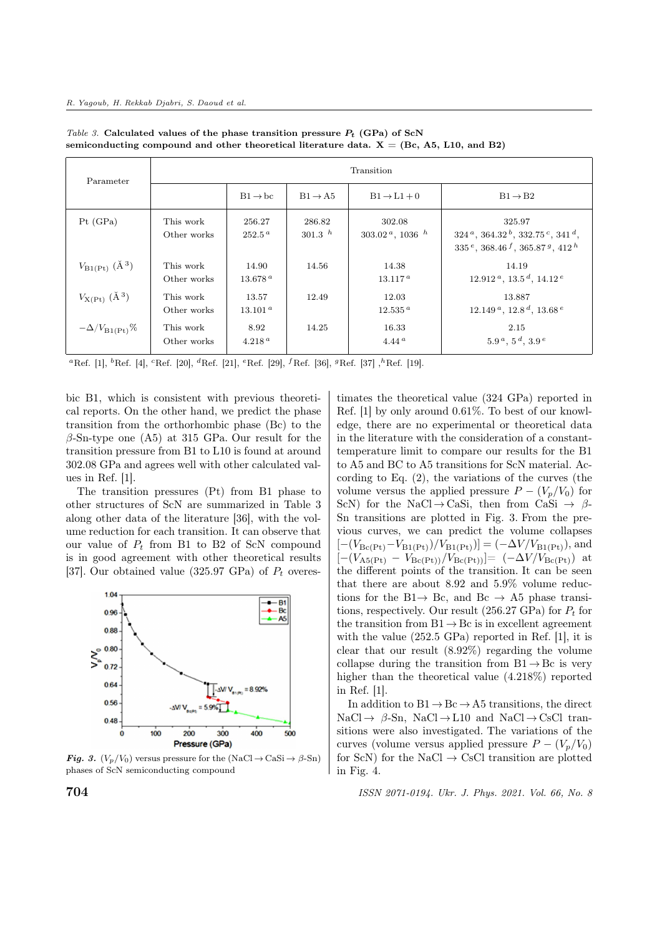| Parameter                          | Transition               |                              |                     |                                          |                                                                                                        |  |  |  |
|------------------------------------|--------------------------|------------------------------|---------------------|------------------------------------------|--------------------------------------------------------------------------------------------------------|--|--|--|
|                                    |                          | $B1 \rightarrow bc$          | $B1 \rightarrow A5$ | $B1 \rightarrow L1 + 0$                  | $B1 \rightarrow B2$                                                                                    |  |  |  |
| Pt(GPa)                            | This work<br>Other works | 256.27<br>$252.5^{\,a}$      | 286.82<br>301.3 $h$ | 302.08<br>$303.02^{\,a}$ , 1036 $^{\,h}$ | 325.97<br>$324^a$ , $364.32^b$ , $332.75^c$ , $341^d$ ,<br>$335^e$ , $368.46^f$ , $365.87^g$ , $412^h$ |  |  |  |
| $V_{\rm B1(Pt)}$ (Å <sup>3</sup> ) | This work<br>Other works | 14.90<br>13.678 <sup>a</sup> | 14.56               | 14.38<br>$13.117^{\,a}$                  | 14.19<br>$12.912^{\mu}$ , $13.5^{\mu}$ , $14.12^{\mu}$                                                 |  |  |  |
| $V_{X(Pt)}$ (Å <sup>3</sup> )      | This work<br>Other works | 13.57<br>13.101 <sup>a</sup> | 12.49               | 12.03<br>$12.535^{\,a}$                  | 13.887<br>$12.149^{\,a}$ , $12.8^{\,d}$ , $13.68^{\,e}$                                                |  |  |  |
| $-\Delta/V_{\rm B1(Pt)}\%$         | This work<br>Other works | 8.92<br>4.218 <sup>a</sup>   | 14.25               | 16.33<br>4.44 <sup>a</sup>               | 2.15<br>$5.9^{\,a},\,5^{\,d},\,3.9^{\,e}$                                                              |  |  |  |

Table 3. Calculated values of the phase transition pressure  $P_t$  (GPa) of ScN semiconducting compound and other theoretical literature data.  $X = (Bc, A5, L10, and B2)$ 

<sup>a</sup>Ref. [1], <sup>b</sup>Ref. [4], <sup>c</sup>Ref. [20], <sup>*d*</sup>Ref. [21], <sup>e</sup>Ref. [29], <sup>*f*</sup>Ref. [36], <sup>*g*</sup>Ref. [37], <sup>h</sup>Ref. [19].

bic B1, which is consistent with previous theoretical reports. On the other hand, we predict the phase transition from the orthorhombic phase (Bc) to the  $\beta$ -Sn-type one (A5) at 315 GPa. Our result for the transition pressure from B1 to L10 is found at around 302.08 GPa and agrees well with other calculated values in Ref. [1].

The transition pressures (Pt) from B1 phase to other structures of ScN are summarized in Table 3 along other data of the literature [36], with the volume reduction for each transition. It can observe that our value of  $P_t$  from B1 to B2 of ScN compound is in good agreement with other theoretical results [37]. Our obtained value (325.97 GPa) of  $P_t$  overes-



**Fig. 3.**  $(V_p/V_0)$  versus pressure for the  $(NaCl \rightarrow CaSi \rightarrow \beta-Sn)$ phases of ScN semiconducting compound

timates the theoretical value (324 GPa) reported in Ref. [1] by only around 0.61%. To best of our knowledge, there are no experimental or theoretical data in the literature with the consideration of a constanttemperature limit to compare our results for the B1 to A5 and BC to A5 transitions for ScN material. According to Eq. (2), the variations of the curves (the volume versus the applied pressure  $P - (V_p/V_0)$  for ScN) for the NaCl  $\rightarrow$  CaSi, then from CaSi  $\rightarrow \beta$ -Sn transitions are plotted in Fig. 3. From the previous curves, we can predict the volume collapses  $[-(V_{\text{Bc(Pt)}}-V_{\text{B1(Pt)}})/V_{\text{B1(Pt)}}] = (-\Delta V/V_{\text{B1(Pt)}})$ , and  $[-(V_{A5(Pt)} - V_{Bc(Pt)})/V_{Bc(Pt)})] = (-\Delta V/V_{Bc(Pt)})$  at the different points of the transition. It can be seen that there are about 8.92 and 5.9% volume reductions for the B1 $\rightarrow$  Bc, and Bc  $\rightarrow$  A5 phase transitions, respectively. Our result (256.27 GPa) for  $P_t$  for the transition from  $B1 \rightarrow BC$  is in excellent agreement with the value (252.5 GPa) reported in Ref. [1], it is clear that our result (8.92%) regarding the volume collapse during the transition from  $B1 \rightarrow BC$  is very higher than the theoretical value (4.218%) reported in Ref. [1].

In addition to  $B1 \rightarrow BC \rightarrow A5$  transitions, the direct  $NaCl \rightarrow \beta$ -Sn, NaCl  $\rightarrow$  L10 and NaCl  $\rightarrow$  CsCl transitions were also investigated. The variations of the curves (volume versus applied pressure  $P - (V_n/V_0)$ for ScN) for the NaCl  $\rightarrow$  CsCl transition are plotted in Fig. 4.

**704** ISSN 2071-0194. Ukr. J. Phys. 2021. Vol. 66, No. 8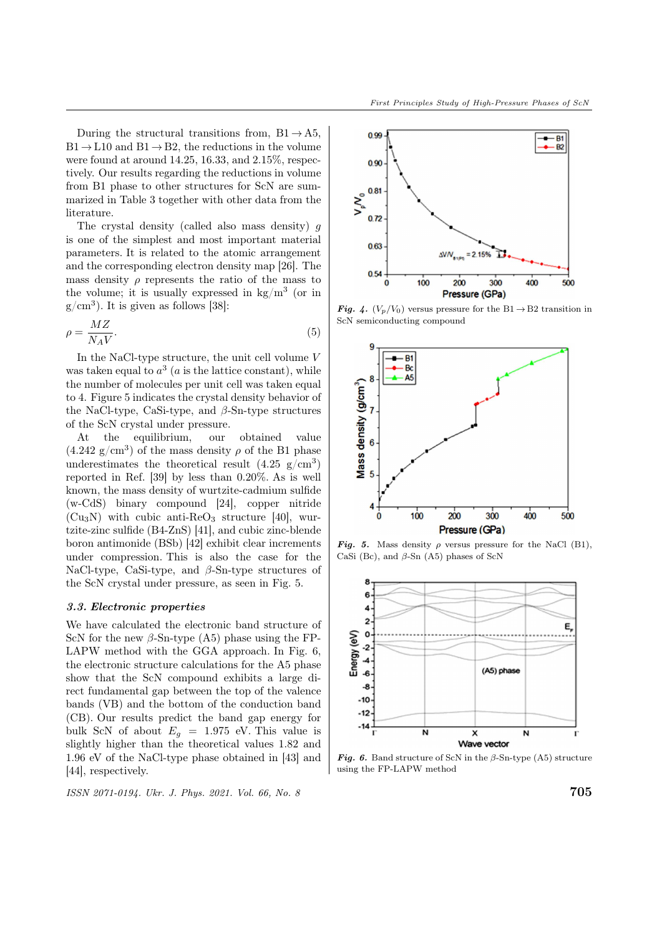During the structural transitions from,  $B1 \rightarrow A5$ ,  $B1 \rightarrow L10$  and  $B1 \rightarrow B2$ , the reductions in the volume were found at around 14.25, 16.33, and 2.15%, respectively. Our results regarding the reductions in volume from B1 phase to other structures for ScN are summarized in Table 3 together with other data from the literature.

The crystal density (called also mass density)  $q$ is one of the simplest and most important material parameters. It is related to the atomic arrangement and the corresponding electron density map [26]. The mass density  $\rho$  represents the ratio of the mass to the volume; it is usually expressed in  $\text{kg/m}^3$  (or in  $g/cm<sup>3</sup>$ ). It is given as follows [38]:

$$
\rho = \frac{MZ}{N_A V}.\tag{5}
$$

In the NaCl-type structure, the unit cell volume  $V$ was taken equal to  $a^3$  (a is the lattice constant), while the number of molecules per unit cell was taken equal to 4. Figure 5 indicates the crystal density behavior of the NaCl-type, CaSi-type, and  $\beta$ -Sn-type structures of the ScN crystal under pressure.

At the equilibrium, our obtained value  $(4.242 \text{ g/cm}^3)$  of the mass density  $\rho$  of the B1 phase underestimates the theoretical result  $(4.25 \text{ g/cm}^3)$ reported in Ref. [39] by less than 0.20%. As is well known, the mass density of wurtzite-cadmium sulfide (w-CdS) binary compound [24], copper nitride  $(Cu_3N)$  with cubic anti-ReO<sub>3</sub> structure [40], wurtzite-zinc sulfide (B4-ZnS) [41], and cubic zinc-blende boron antimonide (BSb) [42] exhibit clear increments under compression. This is also the case for the NaCl-type, CaSi-type, and  $\beta$ -Sn-type structures of the ScN crystal under pressure, as seen in Fig. 5.

#### 3.3. Electronic properties

We have calculated the electronic band structure of ScN for the new  $\beta$ -Sn-type (A5) phase using the FP-LAPW method with the GGA approach. In Fig. 6, the electronic structure calculations for the A5 phase show that the ScN compound exhibits a large direct fundamental gap between the top of the valence bands (VB) and the bottom of the conduction band (CB). Our results predict the band gap energy for bulk ScN of about  $E_q = 1.975$  eV. This value is slightly higher than the theoretical values 1.82 and 1.96 eV of the NaCl-type phase obtained in [43] and [44], respectively.

ISSN 2071-0194. Ukr. J. Phys. 2021. Vol. 66, No. 8 705



**Fig. 4.**  $(V_p/V_0)$  versus pressure for the B1  $\rightarrow$  B2 transition in ScN semiconducting compound



Fig. 5. Mass density  $\rho$  versus pressure for the NaCl (B1), CaSi (Bc), and  $\beta$ -Sn (A5) phases of ScN



Fig. 6. Band structure of ScN in the  $\beta$ -Sn-type (A5) structure using the FP-LAPW method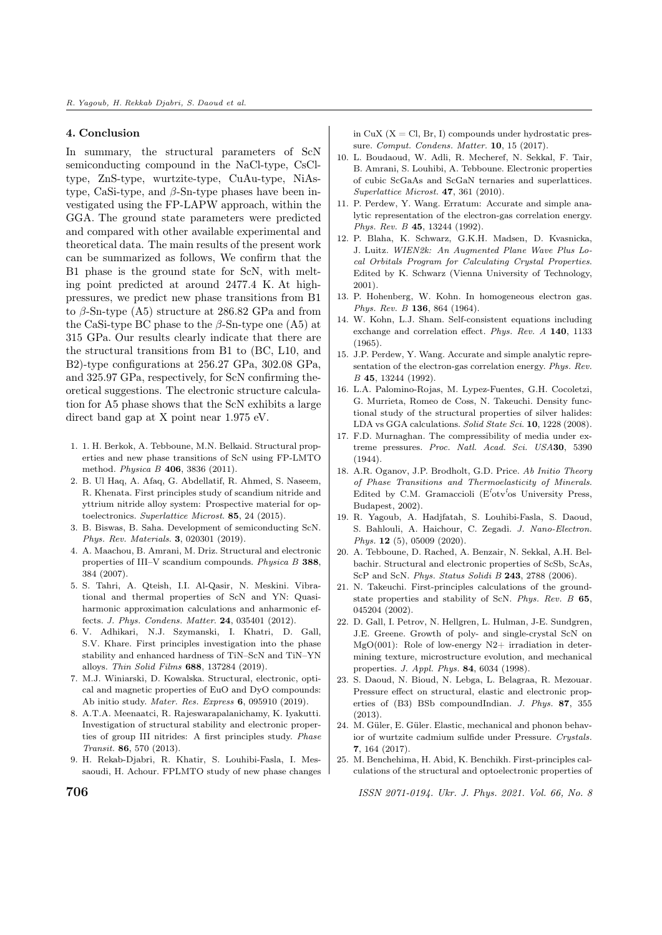# 4. Conclusion

In summary, the structural parameters of ScN semiconducting compound in the NaCl-type, CsCltype, ZnS-type, wurtzite-type, CuAu-type, NiAstype, CaSi-type, and  $\beta$ -Sn-type phases have been investigated using the FP-LAPW approach, within the GGA. The ground state parameters were predicted and compared with other available experimental and theoretical data. The main results of the present work can be summarized as follows, We confirm that the B1 phase is the ground state for ScN, with melting point predicted at around 2477.4 K. At highpressures, we predict new phase transitions from B1 to  $\beta$ -Sn-type (A5) structure at 286.82 GPa and from the CaSi-type BC phase to the  $\beta$ -Sn-type one (A5) at 315 GPa. Our results clearly indicate that there are the structural transitions from B1 to (BC, L10, and B2)-type configurations at 256.27 GPa, 302.08 GPa, and 325.97 GPa, respectively, for ScN confirming theoretical suggestions. The electronic structure calculation for A5 phase shows that the ScN exhibits a large direct band gap at X point near 1.975 eV.

- 1. 1. H. Berkok, A. Tebboune, M.N. Belkaid. Structural properties and new phase transitions of ScN using FP-LMTO method. Physica B 406, 3836 (2011).
- 2. B. Ul Haq, A. Afaq, G. Abdellatif, R. Ahmed, S. Naseem, R. Khenata. First principles study of scandium nitride and yttrium nitride alloy system: Prospective material for optoelectronics. Superlattice Microst. 85, 24 (2015).
- 3. B. Biswas, B. Saha. Development of semiconducting ScN. Phys. Rev. Materials. 3, 020301 (2019).
- 4. A. Maachou, B. Amrani, M. Driz. Structural and electronic properties of III–V scandium compounds. Physica B 388, 384 (2007).
- 5. S. Tahri, A. Qteish, I.I. Al-Qasir, N. Meskini. Vibrational and thermal properties of ScN and YN: Quasiharmonic approximation calculations and anharmonic effects. J. Phys. Condens. Matter. 24, 035401 (2012).
- 6. V. Adhikari, N.J. Szymanski, I. Khatri, D. Gall, S.V. Khare. First principles investigation into the phase stability and enhanced hardness of TiN–ScN and TiN–YN alloys. Thin Solid Films 688, 137284 (2019).
- 7. M.J. Winiarski, D. Kowalska. Structural, electronic, optical and magnetic properties of EuO and DyO compounds: Ab initio study. Mater. Res. Express 6, 095910 (2019).
- 8. A.T.A. Meenaatci, R. Rajeswarapalanichamy, K. Iyakutti. Investigation of structural stability and electronic properties of group III nitrides: A first principles study. Phase Transit. 86, 570 (2013).
- 9. H. Rekab-Djabri, R. Khatir, S. Louhibi-Fasla, I. Messaoudi, H. Achour. FPLMTO study of new phase changes

in CuX  $(X = \text{Cl}, \text{Br}, I)$  compounds under hydrostatic pressure. Comput. Condens. Matter. 10, 15 (2017).

- 10. L. Boudaoud, W. Adli, R. Mecheref, N. Sekkal, F. Tair, B. Amrani, S. Louhibi, A. Tebboune. Electronic properties of cubic ScGaAs and ScGaN ternaries and superlattices. Superlattice Microst. 47, 361 (2010).
- 11. P. Perdew, Y. Wang. Erratum: Accurate and simple analytic representation of the electron-gas correlation energy. Phys. Rev. B 45, 13244 (1992).
- 12. P. Blaha, K. Schwarz, G.K.H. Madsen, D. Kvasnicka, J. Luitz. WIEN2k: An Augmented Plane Wave Plus Local Orbitals Program for Calculating Crystal Properties. Edited by K. Schwarz (Vienna University of Technology, 2001).
- 13. P. Hohenberg, W. Kohn. In homogeneous electron gas. Phys. Rev. B 136, 864 (1964).
- 14. W. Kohn, L.J. Sham. Self-consistent equations including exchange and correlation effect. Phys. Rev. A 140, 1133 (1965).
- 15. J.P. Perdew, Y. Wang. Accurate and simple analytic representation of the electron-gas correlation energy. Phys. Rev. B 45, 13244 (1992).
- 16. L.A. Palomino-Rojas, M. Lуpez-Fuentes, G.H. Cocoletzi, G. Murrieta, Romeo de Coss, N. Takeuchi. Density functional study of the structural properties of silver halides: LDA vs GGA calculations. Solid State Sci. 10, 1228 (2008).
- 17. F.D. Murnaghan. The compressibility of media under extreme pressures. Proc. Natl. Acad. Sci. USA30, 5390  $(1944)$
- 18. A.R. Oganov, J.P. Brodholt, G.D. Price. Ab Initio Theory of Phase Transitions and Thermoelasticity of Minerals. Edited by C.M. Gramaccioli ( $E'$ otv<sup>5</sup>os University Press, Budapest, 2002).
- 19. R. Yagoub, A. Hadjfatah, S. Louhibi-Fasla, S. Daoud, S. Bahlouli, A. Haichour, C. Zegadi. J. Nano-Electron. Phys. 12 (5), 05009 (2020).
- 20. A. Tebboune, D. Rached, A. Benzair, N. Sekkal, A.H. Belbachir. Structural and electronic properties of ScSb, ScAs, ScP and ScN. Phys. Status Solidi B 243, 2788 (2006).
- 21. N. Takeuchi. First-principles calculations of the groundstate properties and stability of ScN. Phys. Rev. B 65, 045204 (2002).
- 22. D. Gall, I. Petrov, N. Hellgren, L. Hulman, J-E. Sundgren, J.E. Greene. Growth of poly- and single-crystal ScN on MgO(001): Role of low-energy  $N2+$  irradiation in determining texture, microstructure evolution, and mechanical properties. J. Appl. Phys. 84, 6034 (1998).
- 23. S. Daoud, N. Bioud, N. Lebga, L. Belagraa, R. Mezouar. Pressure effect on structural, elastic and electronic properties of (B3) BSb compoundIndian. J. Phys. 87, 355  $(2013)$
- 24. M. Güler, E. Güler. Elastic, mechanical and phonon behavior of wurtzite cadmium sulfide under Pressure. Crystals. 7, 164 (2017).
- 25. M. Benchehima, H. Abid, K. Benchikh. First-principles calculations of the structural and optoelectronic properties of

**706 ISSN 2071-0194. Ukr. J. Phys. 2021. Vol. 66, No. 8**